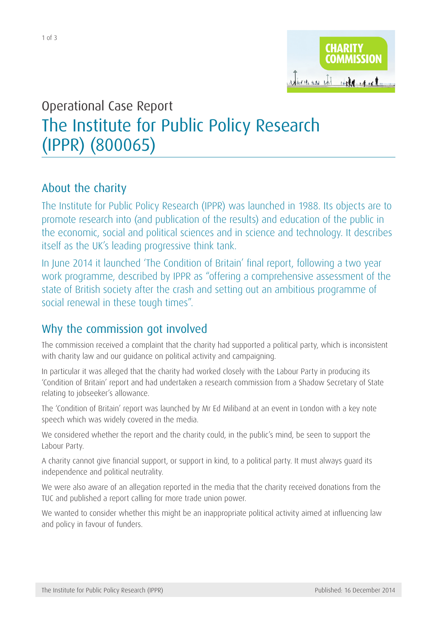

# Operational Case Report [The Institute for Public Policy Research](http://apps.charitycommission.gov.uk/Showcharity/RegisterOfCharities/CharityWithPartB.aspx?RegisteredCharityNumber=800065&SubsidiaryNumber=0) [\(IPPR\) \(800065\)](http://apps.charitycommission.gov.uk/Showcharity/RegisterOfCharities/CharityWithPartB.aspx?RegisteredCharityNumber=800065&SubsidiaryNumber=0)

## About the charity

The Institute for Public Policy Research (IPPR) was launched in 1988. Its objects are to promote research into (and publication of the results) and education of the public in the economic, social and political sciences and in science and technology. It describes itself as the UK's leading progressive think tank.

In June 2014 it launched 'The Condition of Britain' final report, following a two year work programme, described by IPPR as "offering a comprehensive assessment of the state of British society after the crash and setting out an ambitious programme of social renewal in these tough times".

## Why the commission got involved

The commission received a complaint that the charity had supported a political party, which is inconsistent with charity law and our guidance on political activity and campaigning.

In particular it was alleged that the charity had worked closely with the Labour Party in producing its 'Condition of Britain' report and had undertaken a research commission from a Shadow Secretary of State relating to jobseeker's allowance.

The 'Condition of Britain' report was launched by Mr Ed Miliband at an event in London with a key note speech which was widely covered in the media.

We considered whether the report and the charity could, in the public's mind, be seen to support the Labour Party.

A charity cannot give financial support, or support in kind, to a political party. It must always guard its independence and political neutrality.

We were also aware of an allegation reported in the media that the charity received donations from the TUC and published a report calling for more trade union power.

We wanted to consider whether this might be an inappropriate political activity aimed at influencing law and policy in favour of funders.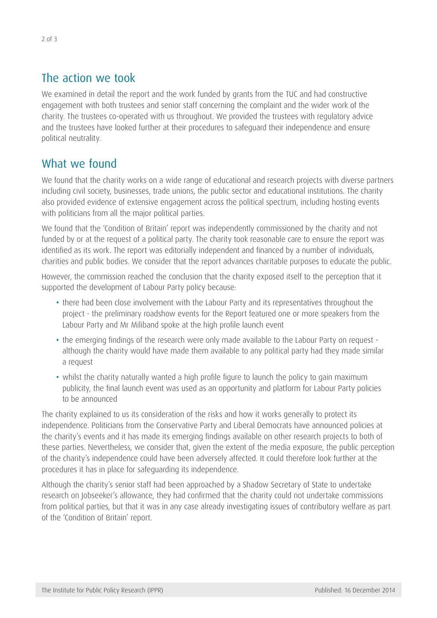## The action we took

We examined in detail the report and the work funded by grants from the TUC and had constructive engagement with both trustees and senior staff concerning the complaint and the wider work of the charity. The trustees co-operated with us throughout. We provided the trustees with regulatory advice and the trustees have looked further at their procedures to safeguard their independence and ensure political neutrality.

## What we found

We found that the charity works on a wide range of educational and research projects with diverse partners including civil society, businesses, trade unions, the public sector and educational institutions. The charity also provided evidence of extensive engagement across the political spectrum, including hosting events with politicians from all the major political parties.

We found that the 'Condition of Britain' report was independently commissioned by the charity and not funded by or at the request of a political party. The charity took reasonable care to ensure the report was identified as its work. The report was editorially independent and financed by a number of individuals, charities and public bodies. We consider that the report advances charitable purposes to educate the public.

However, the commission reached the conclusion that the charity exposed itself to the perception that it supported the development of Labour Party policy because:

- there had been close involvement with the Labour Party and its representatives throughout the project - the preliminary roadshow events for the Report featured one or more speakers from the Labour Party and Mr Miliband spoke at the high profile launch event
- the emerging findings of the research were only made available to the Labour Party on request although the charity would have made them available to any political party had they made similar a request
- whilst the charity naturally wanted a high profile figure to launch the policy to gain maximum publicity, the final launch event was used as an opportunity and platform for Labour Party policies to be announced

The charity explained to us its consideration of the risks and how it works generally to protect its independence. Politicians from the Conservative Party and Liberal Democrats have announced policies at the charity's events and it has made its emerging findings available on other research projects to both of these parties. Nevertheless, we consider that, given the extent of the media exposure, the public perception of the charity's independence could have been adversely affected. It could therefore look further at the procedures it has in place for safeguarding its independence.

Although the charity's senior staff had been approached by a Shadow Secretary of State to undertake research on Jobseeker's allowance, they had confirmed that the charity could not undertake commissions from political parties, but that it was in any case already investigating issues of contributory welfare as part of the 'Condition of Britain' report.